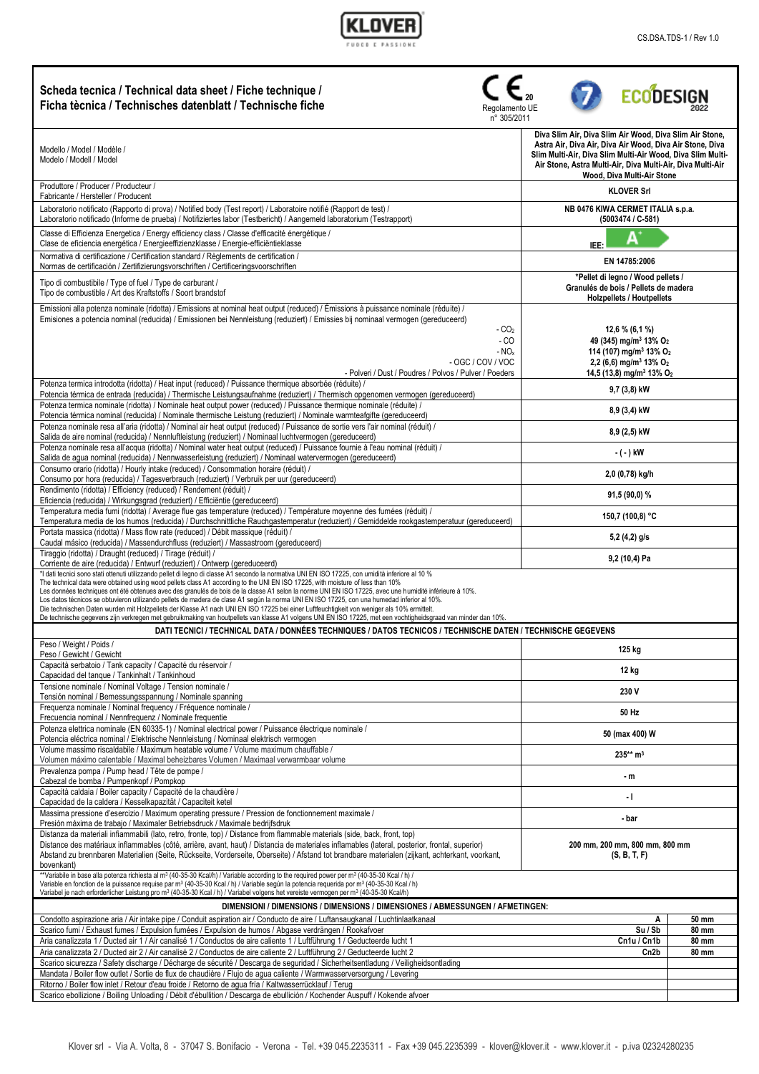## KLOVER

 $\mathbf{r}$ 

٦

| Scheda tecnica / Technical data sheet / Fiche technique /<br>Ficha tècnica / Technisches datenblatt / Technische fiche<br>Regolamento UE<br>n° 305/2011                                                                                                                                                                                                                                                                                                                                                                                                                                                                                                                                                                                                | ODESIGN                                                                                                                                                                                                                                                                       |
|--------------------------------------------------------------------------------------------------------------------------------------------------------------------------------------------------------------------------------------------------------------------------------------------------------------------------------------------------------------------------------------------------------------------------------------------------------------------------------------------------------------------------------------------------------------------------------------------------------------------------------------------------------------------------------------------------------------------------------------------------------|-------------------------------------------------------------------------------------------------------------------------------------------------------------------------------------------------------------------------------------------------------------------------------|
| Modello / Model / Modèle /<br>Modelo / Modell / Model                                                                                                                                                                                                                                                                                                                                                                                                                                                                                                                                                                                                                                                                                                  | Diva Slim Air, Diva Slim Air Wood, Diva Slim Air Stone,<br>Astra Air, Diva Air, Diva Air Wood, Diva Air Stone, Diva<br>Slim Multi-Air, Diva Slim Multi-Air Wood, Diva Slim Multi-<br>Air Stone, Astra Multi-Air, Diva Multi-Air, Diva Multi-Air<br>Wood, Diva Multi-Air Stone |
| Produttore / Producer / Producteur /<br>Fabricante / Hersteller / Producent                                                                                                                                                                                                                                                                                                                                                                                                                                                                                                                                                                                                                                                                            | <b>KLOVER Srl</b>                                                                                                                                                                                                                                                             |
| Laboratorio notificato (Rapporto di prova) / Notified body (Test report) / Laboratoire notifié (Rapport de test) /<br>Laboratorio notificado (Informe de prueba) / Notifiziertes labor (Testbericht) / Aangemeld laboratorium (Testrapport)                                                                                                                                                                                                                                                                                                                                                                                                                                                                                                            | NB 0476 KIWA CERMET ITALIA s.p.a.<br>(5003474 / C-581)                                                                                                                                                                                                                        |
| Classe di Efficienza Energetica / Energy efficiency class / Classe d'efficacité énergétique /<br>Clase de eficiencia energética / Energieeffizienzklasse / Energie-efficiëntieklasse                                                                                                                                                                                                                                                                                                                                                                                                                                                                                                                                                                   | А<br>IEE:                                                                                                                                                                                                                                                                     |
| Normativa di certificazione / Certification standard / Règlements de certification /<br>Normas de certificación / Zertifizierungsvorschriften / Certificeringsvoorschriften                                                                                                                                                                                                                                                                                                                                                                                                                                                                                                                                                                            | EN 14785:2006                                                                                                                                                                                                                                                                 |
| Tipo di combustibile / Type of fuel / Type de carburant /<br>Tipo de combustible / Art des Kraftstoffs / Soort brandstof                                                                                                                                                                                                                                                                                                                                                                                                                                                                                                                                                                                                                               | *Pellet di legno / Wood pellets /<br>Granulés de bois / Pellets de madera<br><b>Holzpellets / Houtpellets</b>                                                                                                                                                                 |
| Emissioni alla potenza nominale (ridotta) / Emissions at nominal heat output (reduced) / Émissions à puissance nominale (réduite) /<br>Emisiones a potencia nominal (reducida) / Emissionen bei Nennleistung (reduziert) / Emissies bij nominaal vermogen (gereduceerd)<br>$-CO2$<br>$-CO$<br>$- NOx$<br>- OGC / COV / VOC<br>- Polveri / Dust / Poudres / Polvos / Pulver / Poeders                                                                                                                                                                                                                                                                                                                                                                   | 12,6 % (6,1 %)<br>49 (345) mg/m <sup>3</sup> 13% O <sub>2</sub><br>114 (107) mg/m <sup>3</sup> 13% O <sub>2</sub><br>2,2 (6,6) mg/m <sup>3</sup> 13% O <sub>2</sub><br>14,5 (13,8) mg/m <sup>3</sup> 13% O <sub>2</sub>                                                       |
| Potenza termica introdotta (ridotta) / Heat input (reduced) / Puissance thermique absorbée (réduite) /<br>Potencia térmica de entrada (reducida) / Thermische Leistungsaufnahme (reduziert) / Thermisch opgenomen vermogen (gereduceerd)                                                                                                                                                                                                                                                                                                                                                                                                                                                                                                               | 9,7 (3,8) kW                                                                                                                                                                                                                                                                  |
| Potenza termica nominale (ridotta) / Nominale heat output power (reduced) / Puissance thermique nominale (réduite) /<br>Potencia térmica nominal (reducida) / Nominale thermische Leistung (reduziert) / Nominale warmteafgifte (gereduceerd)                                                                                                                                                                                                                                                                                                                                                                                                                                                                                                          | 8,9 (3,4) kW                                                                                                                                                                                                                                                                  |
| Potenza nominale resa all'aria (ridotta) / Nominal air heat output (reduced) / Puissance de sortie vers l'air nominal (réduit) /<br>Salida de aire nominal (reducida) / Nennluftleistung (reduziert) / Nominaal luchtvermogen (gereduceerd)                                                                                                                                                                                                                                                                                                                                                                                                                                                                                                            | 8,9 (2,5) kW                                                                                                                                                                                                                                                                  |
| Potenza nominale resa all'acqua (ridotta) / Nominal water heat output (reduced) / Puissance fournie à l'eau nominal (réduit) /<br>Salida de agua nominal (reducida) / Nennwasserleistung (reduziert) / Nominaal watervermogen (gereduceerd)                                                                                                                                                                                                                                                                                                                                                                                                                                                                                                            | - ( - ) kW                                                                                                                                                                                                                                                                    |
| Consumo orario (ridotta) / Hourly intake (reduced) / Consommation horaire (réduit) /<br>Consumo por hora (reducida) / Tagesverbrauch (reduziert) / Verbruik per uur (gereduceerd)                                                                                                                                                                                                                                                                                                                                                                                                                                                                                                                                                                      | 2,0 (0,78) kg/h                                                                                                                                                                                                                                                               |
| Rendimento (ridotta) / Efficiency (reduced) / Rendement (réduit) /<br>Eficiencia (reducida) / Wirkungsgrad (reduziert) / Efficiëntie (gereduceerd)                                                                                                                                                                                                                                                                                                                                                                                                                                                                                                                                                                                                     | 91,5 (90,0) %                                                                                                                                                                                                                                                                 |
| Temperatura media fumi (ridotta) / Average flue gas temperature (reduced) / Température moyenne des fumées (réduit) /<br>Temperatura media de los humos (reducida) / Durchschnittliche Rauchgastemperatur (reduziert) / Gemiddelde rookgastemperatuur (gereduceerd)                                                                                                                                                                                                                                                                                                                                                                                                                                                                                    | 150,7 (100,8) °C                                                                                                                                                                                                                                                              |
| Portata massica (ridotta) / Mass flow rate (reduced) / Débit massique (réduit) /<br>Caudal másico (reducida) / Massendurchfluss (reduziert) / Massastroom (gereduceerd)                                                                                                                                                                                                                                                                                                                                                                                                                                                                                                                                                                                | 5,2 (4,2) g/s                                                                                                                                                                                                                                                                 |
| Tiraggio (ridotta) / Draught (reduced) / Tirage (réduit) /<br>Corriente de aire (reducida) / Entwurf (reduziert) / Ontwerp (gereduceerd)<br>*I dati tecnici sono stati ottenuti utilizzando pellet di legno di classe A1 secondo la normativa UNI EN ISO 17225, con umidità inferiore al 10 %                                                                                                                                                                                                                                                                                                                                                                                                                                                          | 9,2 (10,4) Pa                                                                                                                                                                                                                                                                 |
| The technical data were obtained using wood pellets class A1 according to the UNI EN ISO 17225, with moisture of less than 10%<br>Les données techniques ont été obtenues avec des granulés de bois de la classe A1 selon la norme UNI EN ISO 17225, avec une humidité inférieure à 10%.<br>Los datos técnicos se obtuvieron utilizando pellets de madera de clase A1 según la norma UNI EN ISO 17225, con una humedad inferior al 10%.<br>Die technischen Daten wurden mit Holzpellets der Klasse A1 nach UNI EN ISO 17225 bei einer Luftfeuchtigkeit von weniger als 10% ermittelt.<br>De technische gegevens zijn verkregen met gebruikmaking van houtpellets van klasse A1 volgens UNI EN ISO 17225, met een vochtigheidsgraad van minder dan 10%. |                                                                                                                                                                                                                                                                               |
| DATI TECNICI / TECHNICAL DATA / DONNÉES TECHNIQUES / DATOS TECNICOS / TECHNISCHE DATEN / TECHNISCHE GEGEVENS<br>Peso / Weight / Poids /                                                                                                                                                                                                                                                                                                                                                                                                                                                                                                                                                                                                                |                                                                                                                                                                                                                                                                               |
| Peso / Gewicht / Gewicht<br>Capacità serbatoio / Tank capacity / Capacité du réservoir /                                                                                                                                                                                                                                                                                                                                                                                                                                                                                                                                                                                                                                                               | 125 kg                                                                                                                                                                                                                                                                        |
| Capacidad del tanque / Tankinhalt / Tankinhoud<br>Tensione nominale / Nominal Voltage / Tension nominale /                                                                                                                                                                                                                                                                                                                                                                                                                                                                                                                                                                                                                                             | 12 kg                                                                                                                                                                                                                                                                         |
| Tensión nominal / Bemessungsspannung / Nominale spanning<br>Frequenza nominale / Nominal frequency / Fréquence nominale /                                                                                                                                                                                                                                                                                                                                                                                                                                                                                                                                                                                                                              | 230 V                                                                                                                                                                                                                                                                         |
| Frecuencia nominal / Nennfrequenz / Nominale frequentie<br>Potenza elettrica nominale (EN 60335-1) / Nominal electrical power / Puissance électrique nominale /                                                                                                                                                                                                                                                                                                                                                                                                                                                                                                                                                                                        | 50 Hz                                                                                                                                                                                                                                                                         |
| Potencia eléctrica nominal / Elektrische Nennleistung / Nominaal elektrisch vermogen<br>Volume massimo riscaldabile / Maximum heatable volume / Volume maximum chauffable /                                                                                                                                                                                                                                                                                                                                                                                                                                                                                                                                                                            | 50 (max 400) W                                                                                                                                                                                                                                                                |
| Volumen máximo calentable / Maximal beheizbares Volumen / Maximaal verwarmbaar volume<br>Prevalenza pompa / Pump head / Tête de pompe /                                                                                                                                                                                                                                                                                                                                                                                                                                                                                                                                                                                                                | 235** m <sup>3</sup>                                                                                                                                                                                                                                                          |
| Cabezal de bomba / Pumpenkopf / Pompkop<br>Capacità caldaia / Boiler capacity / Capacité de la chaudière /                                                                                                                                                                                                                                                                                                                                                                                                                                                                                                                                                                                                                                             | - m                                                                                                                                                                                                                                                                           |
| Capacidad de la caldera / Kesselkapazität / Capaciteit ketel<br>Massima pressione d'esercizio / Maximum operating pressure / Pression de fonctionnement maximale /                                                                                                                                                                                                                                                                                                                                                                                                                                                                                                                                                                                     | -1                                                                                                                                                                                                                                                                            |
| Presión máxima de trabajo / Maximaler Betriebsdruck / Maximale bedrijfsdruk<br>Distanza da materiali infiammabili (lato, retro, fronte, top) / Distance from flammable materials (side, back, front, top)                                                                                                                                                                                                                                                                                                                                                                                                                                                                                                                                              | - bar                                                                                                                                                                                                                                                                         |
| Distance des matériaux inflammables (côté, arrière, avant, haut) / Distancia de materiales inflamables (lateral, posterior, frontal, superior)<br>Abstand zu brennbaren Materialien (Seite, Rückseite, Vorderseite, Oberseite) / Afstand tot brandbare materialen (zijkant, achterkant, voorkant,<br>bovenkant)                                                                                                                                                                                                                                                                                                                                                                                                                                        | 200 mm, 200 mm, 800 mm, 800 mm<br>(S, B, T, F)                                                                                                                                                                                                                                |
| **Variabile in base alla potenza richiesta al m <sup>3</sup> (40-35-30 Kcal/h) / Variable according to the required power per m <sup>3</sup> (40-35-30 Kcal / h) /<br>Variable en fonction de la puissance requise par m <sup>3</sup> (40-35-30 Kcal / h) / Variable según la potencia requerida por m <sup>3</sup> (40-35-30 Kcal / h)<br>Variabel je nach erforderlicher Leistung pro m <sup>3</sup> (40-35-30 Kcal / h) / Variabel volgens het vereiste vermogen per m <sup>3</sup> (40-35-30 Kcal/h)                                                                                                                                                                                                                                               |                                                                                                                                                                                                                                                                               |
| DIMENSIONI / DIMENSIONS / DIMENSIONS / DIMENSIONES / ABMESSUNGEN / AFMETINGEN:<br>Condotto aspirazione aria / Air intake pipe / Conduit aspiration air / Conducto de aire / Luftansaugkanal / Luchtinlaatkanaal<br>50 mm<br>Α                                                                                                                                                                                                                                                                                                                                                                                                                                                                                                                          |                                                                                                                                                                                                                                                                               |
| Scarico fumi / Exhaust fumes / Expulsion fumées / Expulsion de humos / Abgase verdrängen / Rookafvoer                                                                                                                                                                                                                                                                                                                                                                                                                                                                                                                                                                                                                                                  | $Su/$ Sb<br>80 mm                                                                                                                                                                                                                                                             |
| Aria canalizzata 1 / Ducted air 1 / Air canalisé 1 / Conductos de aire caliente 1 / Luftführung 1 / Geducteerde lucht 1<br>Aria canalizzata 2 / Ducted air 2 / Air canalisé 2 / Conductos de aire caliente 2 / Luftführung 2 / Geducteerde lucht 2                                                                                                                                                                                                                                                                                                                                                                                                                                                                                                     | Cn1u / Cn1b<br><b>80 mm</b><br>Cn2b<br>80 mm                                                                                                                                                                                                                                  |
| Scarico sicurezza / Safety discharge / Décharge de sécurité / Descarga de seguridad / Sicherheitsentladung / Veiligheidsontlading                                                                                                                                                                                                                                                                                                                                                                                                                                                                                                                                                                                                                      |                                                                                                                                                                                                                                                                               |
| Mandata / Boiler flow outlet / Sortie de flux de chaudière / Flujo de agua caliente / Warmwasserversorgung / Levering<br>Ritorno / Boiler flow inlet / Retour d'eau froide / Retorno de agua fría / Kaltwasserrücklauf / Terug                                                                                                                                                                                                                                                                                                                                                                                                                                                                                                                         |                                                                                                                                                                                                                                                                               |
| Scarico ebollizione / Boiling Unloading / Débit d'ébullition / Descarga de ebullición / Kochender Auspuff / Kokende afvoer                                                                                                                                                                                                                                                                                                                                                                                                                                                                                                                                                                                                                             |                                                                                                                                                                                                                                                                               |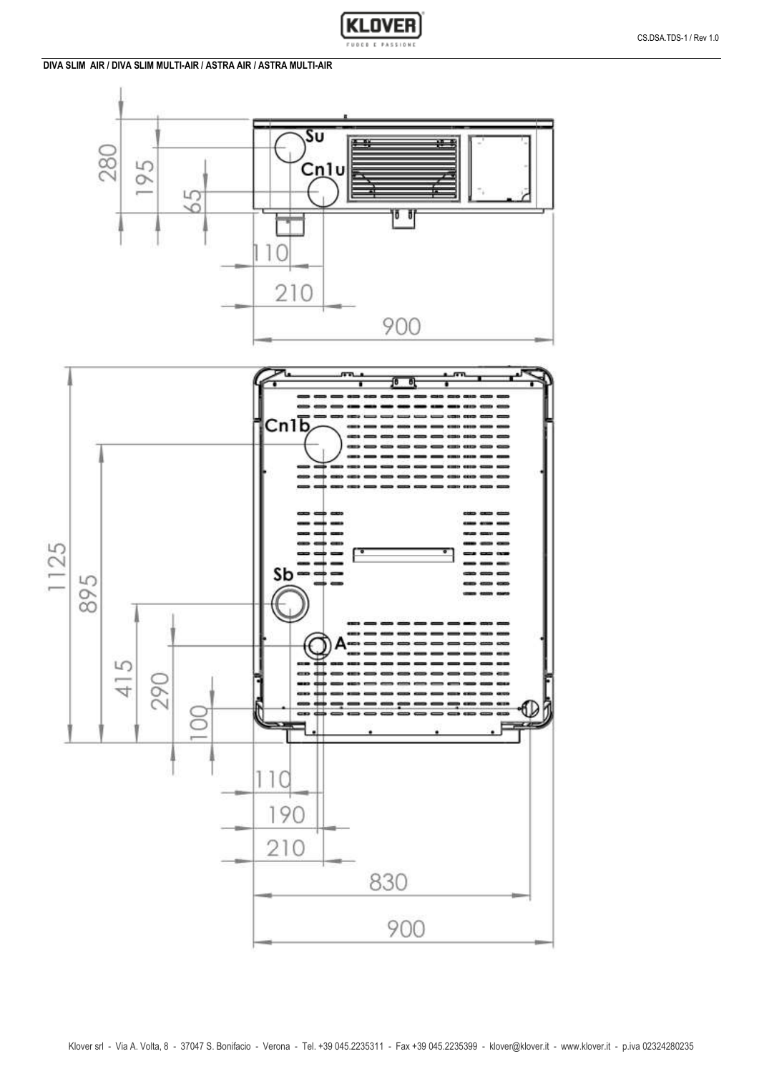**KLOVER** 

**DIVA SLIM AIR / DIVA SLIM MULTI-AIR / ASTRA AIR / ASTRA MULTI-AIR**